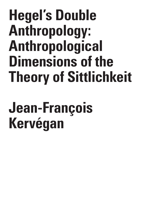## **Hegel's Double Anthropology: Anthropological Dimensions of the Theory of Sittlichkeit**

# **Jean-François Kervégan**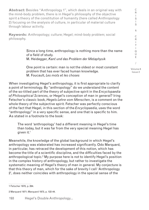**Abstract:** Besides "Anthropology 1", which deals in an original way with the mind-body problem, there is in Hegel's philosophy of the objective spirit a theory of the constitution of humanity (here called Anthropology 2) focusing on the analysis of culture, in particular of material culture through labour activity.

**Keywords:** Anthropology; culture; Hegel; mind-body problem; social philosophy.

> Since a long time, anthropology is nothing more than the name of a field of study. M. Heidegger, *Kant und das Problem der Metaphysik*

One point is certain: man is not the oldest or most constant problem that has ever faced human knowledge. M. Foucault, *Les mots et les choses*

When investigating Hegel's anthropology, it is first appropriate to clarify a point of terminology. By "anthropology" do we understand the content of the so-titled part of the theory of subjective spirit in the *Encyclopaedia of Philosophical Sciences*, or Hegel's conception of man in general? Iring Fetscher's classic book, *Hegels Lehre vom Menschen*, is a comment on the whole theory of the subjective spirit. Fetscher was perfectly conscious of the fact that Hegel, in this section of the *Encyclopaedia*, uses the word "anthropology" in a very specific sense, and one that is specific to him. As stated in a footnote to the book:

The word 'anthropology' had a different meaning in Hegel's time than today, but it was far from the very special meaning Hegel has given it.1

Meanwhile, the knowledge of the global background in which Hegel's anthropology was elaborated has increased significantly. Odo Marquard, in particular, has retraced the development of this notion, which has become the title of a scientific discipline, and the difficulties faced by the anthropological topic.2 My purpose here is not to identify Hegel's position in the complex history of anthropology, but rather to investigate the systematic meaning of Hegel's theory of man in general. My conjecture is that this theory of man, which for the sake of brevity I call 'Anthropology 2', does neither coincides with anthropology in the special sense of the

2 Marquard 1971; Marquard 1973, p. 122-44.

Issue 2

C R I S I S

<sup>1</sup> Fetscher 1970, p. 264.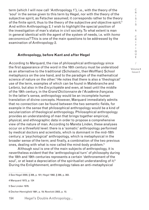term (which I will now call 'Anthropology 1'), i.e., with the theory of the 'soul' in the sense given to this term by Hegel, nor with the theory of the subjective spirit, as Fetscher assumed; it corresponds rather to the theory of the finite spirit, thus to the theory of the subjective *and* objective spirit.3 And within Anthropology 2, I wish to highlight the special position of the investigation of man's status in civil society. To what extent is man in general identical with the agent of the system of needs, i.e. with *homo oeconomicus*? This is one of the main questions to be addressed by the examination of Anthropology 2.

#### **Anthropology, before Kant and after Hegel**

According to Marquard, the rise of philosophical anthropology since the first appearance of the word in the 16th century must be understood as an alternative to the traditional (Scholastic, then Wolffian) School metaphysics on the one hand, and to the paradigm of the mathematical science of nature on the other.4 He notes that there is also a 'theological' use of the term, examples of which can be found in Malebranche and Leibniz, but also in the *Encyclopédie* and even, at least until the middle of the 19th century, in the *Grand Dictionnaire de l'Académie française*. In the latter's sense, anthropology would be an incomplete human translation of divine concepts. However, Marquard immediately admits that no connection can be found between the two semantic fields, for example in the sense that philosophical anthropology would be a kind of secularization of theological anthropology. Philosophical anthropology provides an understanding of man that brings together empirical, physical, and ethnographic data in order to propose a comprehensive view of the nature of man. According to Mareta Linden, these analyses occur on a threefold level: there is a 'somatic' anthropology performed by medical doctors and scientists, which is dominant in the mid-18th century; a 'psychological' anthropology, which is metaphysical in the broader sense of the term; and finally, a combination of the two previous ones, dealing with what is now called the mind-body problem.<sup>5</sup>

Although soul is one of the main subjects of anthropology, it is nevertheless evident that the 'anthropological turn' of philosophy during the 18th and 19th centuries represents a certain 'dethronement of the soul', or at least a depreciation of the spiritualist understanding of it.<sup>6</sup> During the Enlightenment, anthropology takes an anti-metaphysical

5 See Linden 1976.

S I S & C R I T I Q U E / Volume 8

C R  $\mathbf{I}$ 

Issue 2

<sup>3</sup> See Hegel 2000, § 306, p. 181; Hegel 1992, § 386, p. 383.

<sup>4</sup> Marquard 1973, p. 124

<sup>6</sup> Decher-Hennigfeld 1991, p. 19; Nowitzki 2003, p. 10.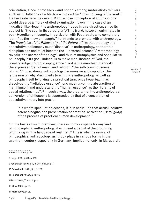orientation, since it proceeds – and not only among materialists thinkers such as d'Holbach or La Mettrie – to a certain "physicalising of the soul".<sup>7</sup> I leave aside here the case of Kant, whose conception of anthropology would deserve a more detailed examination. Even in the case of an "idealist" like Hegel, the anthropology 1 goes in this direction, since its subject is "the soul in its corporeity".8 This trend, however, culminates in post-Hegelian philosophy, in particular with Feuerbach, who completely identifies the "new philosophy" he intends to promote with anthropology. The *Principles of the Philosophy of the Future* affirm that theology and speculative philosophy must "dissolve" in anthropology, so that this discipline can and must become the "universal science".9 Anthropology reveals "the secret of theology", and thus of metaphysics and speculative philosophy;10 its goal, indeed, is to make man, instead of God, the primary subject of philosophy, since "God is the manifest interiority, the expressed Self of man", and religion, "the self-consciousness of man".11 In so doing, anthropology becomes an anthropodicy. This is the reason why Marx wants to eliminate anthropology as well as philosophy itself by giving it a practical turn: once Feuerbach has dissolved the "religious essence", one must unveil the abstraction of man himself, and understand the "human essence" as the "totality of social relationships".<sup>12</sup> In such a way, the program of the anthropological conversion of philosophy is superseded by that of a conversion of speculative theory into praxis:

It is where speculation ceases, it is in actual life that actual, positive science begins, the presentation of practical activation (*Betätigung*) of the process of practical human development.<sup>13</sup>

On the basis of such premises, there is no more space for any kind of philosophical anthropology: it is indeed a denial of the grounding of thinking in "the language of real life".14 This is why the revival of philosophical anthropology, as it took place in various forms in the twentieth century, especially in Germany, implied not only, in Marquard's

|                                  | 7 Nowitzki 2003, p. 29.      |                                               |
|----------------------------------|------------------------------|-----------------------------------------------|
|                                  | 8 Hegel 1992, § 411, p. 419. |                                               |
|                                  |                              | 9 Feuerbach 1959a, § 1, p. 245; § 54, p. 317. |
| 10 Feuerbach 1959b, § 1, p. 222; |                              |                                               |
| 11 Feuerbach 1959c, p. 15-16.    |                              |                                               |
| 12 Marx 1969a, These 6, p. 6.    |                              |                                               |
| 13 Marx 1969b, p. 28.            |                              |                                               |
| 14 Marx 1969b, p. 26.            |                              |                                               |
|                                  | 195                          | Hegel's Double Anthropology                   |

& C R I T I Q U E / Volume 8

C R  $\mathbf{I}$ S I S

Issue 2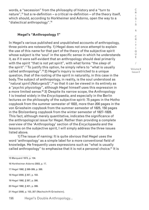words, a "secession" from the philosophy of history and a "turn to nature",<sup>15</sup> but a re-definition – a critical re-definition – of the theory itself, which should, according to Horkheimer and Adorno, open the way to a "dialectical anthropology".16

## **Hegel's "Anthropology 1"**

In Hegel's various published and unpublished accounts of anthropology, three points are noteworthy. 1) Hegel does not once attempt to explain the use of this name for that part of the theory of the subjective spirit whose subject is the 'soul' in the specific sense in which he understands it, as if it were self-evident that an anthropology should deal primarily with the spirit "that is not yet spirit", with what forms "the *sleep* of the spirit".17 To justify this option, he simply refers to "what is usually called anthropology".18 2) Hegel's inquiry is restricted to a unique question, that of the rooting of the spirit in naturality, in this case in the body. The subject of anthropology, in reality, is the soul understood as "*natural spirit* (*Naturgeist*)",19 so that it can be viewed in its entirety as a "*psychic physiology*", although Hegel himself uses this expression in a more limited sense.<sup>20</sup> 3) Despite its narrow scope, the Anthropology 1 is treated widely in the *Encyclopaedia*, and especially in the Berlin lectures on the philosophy of the subjective spirit: 75 pages in the Hotho copybook from the summer semester of 1822, more than 200 pages in the von Griesheim copybook from the summer semester of 1825, 150 pages in the Stolzenberg copybook from the winter semester of 1827-1828. This fact, although merely quantitative, indicates the significance of the anthropological issue for Hegel. Rather than providing a complete overview of the 'Anthropology' section of the *Encyclopaedia* and the lessons on the subjective spirit, I will simply address the three issues listed above.

1) The issue of naming: It is quite obvious that Hegel uses the word 'anthropology' as a simple label for a more conventional field of knowledge. He frequently uses expressions such as "what is usually called anthropology" to emphasise that it is not a personal choice.<sup>21</sup> It is

15 Marquard 1973, p. 134.

- 16 Horkheimer-Adorno 2003, p. 17.
- 17 Hegel 1992, § 388-389, p. 388.
- 18 Hegel 2000, § 307, p. 183.
- 19 Hegel 1992, § 387, p. 386.
- 20 Hegel 1992, § 401, p. 399.

21 Hegel 2008, p. 153, 207 (Nachschrift Griesheim).

196 Hegel's Double Anthropology...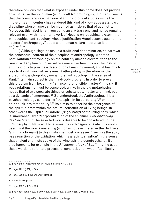therefore obvious that what is exposed under this name does not provide an exhaustive theory of man (what I call Anthropology 2). Rather, it seems that the considerable expansion of anthropological studies since the mid-eighteenth century has rendered this kind of knowledge a standard discipline whose name can be modified as little as that of geometry. Moreover, this label is far from being an arbitrary one, and hence remains relevant even within the framework of Hegel's philosophical system: the philosophical anthropology whose justification Hegel asserts against the "doctors' anthropology" deals with human nature insofar as it is *only nature*.

2) Although Hegel takes up a traditional denomination, he narrows the conceptual content of the discipline of anthropology, whereas post-Kantian anthropology on the contrary aims to elevate itself to the rank of a discipline of universal relevance. For him, it is not the task of anthropology to provide a description of man in general, and it has much less to do with normative issues. Anthropology is therefore neither a pragmatic anthropology nor a moral anthropology in the sense of Kant:<sup>22</sup> its main subject is the mind-body problem. In order to prevent this problem from becoming "an incomprehensible mystery", the spiritbody relationship must be conceived, unlike in the old metaphysics, not as that of two separate things or substances, matter and mind, but as a dynamic of emergence.<sup>23</sup> So understood, the Anthropology 1 is a psychophysiology considering "the spirit in its corporeity",<sup>24</sup> or "the spirit sunk into materiality".<sup>25</sup> Its aim is to describe the emergence of the spiritual from within the natural constitution of living beings, in other words the "spiritualisation" (*Begeistung*) of the living body, which is simultaneously a "corporalization of the spiritual" (*Verleiblichung des Geistigen*).26 The selected words deserve to be considered. In the "Philosophy of Nature", Hegel uses the verb *begeisten* (which is rarely used) and the word *Begeistung* (which is not even listed in the Brothers Grimm dictionary!) to designate chemical processes. $^{27}$  such as the acid/ base reaction or the oxidation, which is a 'spiritualization' in the sense that ancient chemists spoke of the wine spirit to denote ethanol. But it also happens, for example in the *Phenomenology of Spirit*, that he uses these words to refer to a process of concretization which "spiritually

22 See Kant, *Metaphysik der Sitten*, Einleitung, *AA* VI, p. 217.

23 Hegel 1992, § 389, p. 389.

24 Hegel 2008, p. 8 (Nachschrift Hotho).

25 Hegel 2010a, p. 695.

26 Hegel 1992, § 401, p. 399.

27 See Hegel 1992, § 202, p. 399; § 326, p. 327; § 329, p. 329; § 335, *GW* 20, p. 342.

197 Hegel's Double Anthropology...

R  $\mathbf{I}$ S I S & C R I T I Q U E / Volume 8 Issue 2

C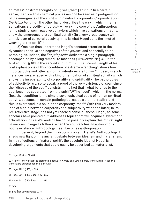animates" abstract thoughts or "gives [them] spirit".<sup>28</sup> In a certain sense, then, certain chemical processes can be seen as a prefiguration of the emergence of the spirit within natural corporeity. Corporalization (*Verleiblichung*), on the other hand, describes the way in which internal sensations are bodily reflected.<sup>29</sup> Anyway, the core of the Anthropology 1 is the study of semi-passive behaviors which, like sensations or habits, show the emergence of a spiritual activity (in a very broad sense) within a thick layer of corporal passivity: this is what Hegel calls the "muted weaving of the spirit".30

3) One can thus understand Hegel's constant attention to the dynamics (positive and negative) of the *psyche*, and especially to its pathologies. Indeed, the *Encyclopaedia* dedicates a single paragraph, accompanied by a long remark, to madness (*Verrücktheit*): § 321 in the first edition, § 408 in the second and third. But the unusual length of his oral explanations of this "condition of extreme wrenching" shows how important this and other abnormal situations are to him.<sup>31</sup> Indeed, in such instances we are faced with a kind of reification of spiritual activity which shows the inseparability of corporality and spirituality. The pathologies of subjectivity are, so to speak, a proof of the very existence of soul, since the "disease of the soul" consists in the fact that "what belongs to the soul becomes separated from the spirit".<sup>32</sup>The "soul", which in the normal (healthy) condition is the simple psychophysical basis of human spiritual activity, becomes in certain pathological cases a distinct reality, and this is expressed in a split in the corporeity itself.<sup>33</sup> With this very modern idea of a split between corporeity and subjectivity when the latter, in its pre-reflective stage, has not yet reached consciousness, Hegel, as some scholars have pointed out, addresses topics that will acquire a systematic articulation in Freud's work.<sup>34</sup> One could possibly explain this at first sight hazardous linkage as follows: when the soul reaches an autonomous bodily existence, anthropology itself becomes anthropoiatry.

In general, beyond the mind-body problem, Hegel's Anthropology 1 sheds new light on the ancient debate between idealism and materialism. In his reflections on 'natural spirit', the absolute idealist Hegel is developing arguments that could easily be described as materialist,

28 Hegel 2018, p. 21, 463.

29 It is well known that the distinction between *Körper* and *Leib* is hardly translatable: Husserl's translators experienced this difficulty.

30 Hegel 1992, § 400, p. 396.

31 Hegel 2011, § 408 Zusatz, p. 1036.

32 Hegel 2011, § 406 Zusatz, p. 1016.

33 *Ibid*.

34 See Žižek 2011; Pagès 2015.

198 Hegel's Double Anthropology...

S I S & C R I T I Q U E / Volume 8

Issue 2

C R I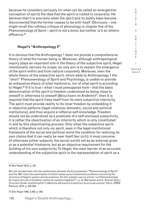because he considers seriously (in what can be called an emergentist conception of spirit) the idea that the spirit is rooted in corporeity: He believes that it is precisely when the spirit and its bodily base become disconnected that the former ceases to be with itself. Obviously – one might recall the ruthless critique of phrenology in chapter five of the *Phenomenology of Spirit* – spirit is not a bone; but neither is it an etheric effluence.<sup>35</sup>

### **Hegel's "Anthropology 2"**

It is obvious that the Anthropology 1 does not provide a comprehensive theory of what the human being is. Moreover, although anthropological inquiry plays an important role in the theory of the subjective spirit, Hegel intentionally narrows its scope: its only aim is to explain the emergence of the spirit within and from natural corporeity. Moreover, even the whole theory of the subjective spirit, which adds to Anthropology 1 the "short" Phenomenology of Spirit and Psychology, is unable to provide an exhaustive theory of what mankind is, nor of what spirit is according to Hegel.36 If it is true – what I must presuppose here – that the basic determination of the spirit is freedom understood as being close to oneself in otherness to oneself (*Beisichsein im Anderen*)37, then it is required that the spirit frees itself from its mere subjective interiority. The spirit must provide reality to its inner freedom by embedding it in objective patterns (legal relations; domestic, social and political institutions), and thus acquire a reflexive self-knowledge. Freedom should not be understood as a predicate of a self-enclosed subjectivity, it is rather the objectivation of an interiority which is only constituted in and by this objectivating process. Only when the subjective spirit, which is therefore not only *my* spirit, sees in the legal-institutional framework of the social and political world the condition for realizing its own claims that it can really be near itself (*bei sich*); it must conceive of otherness (other subjects, the social world) not as an external given or as a potential hindrance, but as an objective requirement for the building of his own subjectivity. To Hegel, the main barrier of an accurate understanding of the subjective spirit is the representation of spirit as a

35 See Hegel 2018, p. 201.

37 See Hegel 1992, § 382, p. 382.

199 Hegel's Double Anthropology...

I S I S & C R I T I Q U E / Volume 8

C R

Issue 2

<sup>36</sup> I will not deal here with the relationship between the *Encyclopedia*'s "Phenomenology of Spirit" and the 1807 work, the examination of which raises some fundamental problems concerning the structure of Hegel's system and its evolution. On this subject, see my article "La *Phénoménologie de l'esprit* est-elle la fondation ultime du système hégélien?", in: G. Marmasse and A. Schnell (eds.), *Comment fonder la philosophie? L'idéalisme allemand et la question du principe premier*, Paris, CNRS Éditions, 2014, p. 243-264.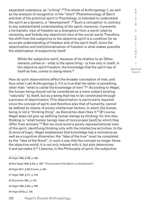separated substance, as "a *thing*".<sup>38</sup> The whole of Anthropology 1, as well as the analysis of recognition in the "short" Phenomenology of Spirit and that of the practical spirit in Psychology, is intended to understand the spirit as a dynamic, a "development".<sup>39</sup> Such a conception is contrary to any substantialist understanding of the spirit; moreover, it prevents a formalistic view of freedom as a divergence from a world ruled by necessity, and forbids any objectivist view of the social world. Therefore, the shift from the subjective to the objective spirit is a condition for an accurate understanding of freedom and of the spirit itself, since the objectivation and institutionalization of freedom is what makes possible the stabilization of subjectivity itself:

While the subjective spirit, because of its relation to an Other, remains unfree or - what is the same thing - is free only in itself, in the objective spirit freedom, the knowledge that the spirit has of itself as free, comes to being-there.<sup>40</sup>

How do such observations affect the broader conception of man, and thus what I call Anthropology 2, if it is true that the latter is something other than "what is called the knowledge of men"?41 According to Hegel, the human being should not be considered as a mere subject existing "naturally" by itself, but as a being that has to be constituted through a process of objectivation. This objectivation is particularly required since the concept of spirit, and therefore also that of humanity, cannot be defined by means of purely intellectual factors. In short, the human being is not a "thinking thing", as Descartes describes it.<sup>42</sup> Of course, Hegel does not give up defining human beings by thinking: for him also thinking is "what human beings *have of more proper* [and] by which they differ from animals."43 But we must avoid a purely representational view of the spirit, identifying thinking only with the intellective activities. In the *Science of Logic*, Hegel emphasizes that knowledge has a normative as well as a cognitive dimension: the "idea of the true" must be completed by the "idea of the Good", in such a way that the concept no longer faces the objective world; it is not only imbued with it, but also determines it and pervades it.44 Likewise, in the *Philosophy of spirit*, the subjective

44 Hegel 2010a, p. 729.

200 Hegel's Double Anthropology...

 $\mathbf{I}$ S I S & C R I T I Q U E / Volume 8 Issue 2

C R

<sup>38</sup> Hegel 1992, § 389, p. 388.

<sup>39</sup> See Hegel 1992, § 442, p. 436: "The proceed of the Spirit is a *development*".

<sup>40</sup> Hegel 2011, § 385 Zusatz, p. 940.

<sup>41</sup> Hegel 1992, § 377, p. 379.

<sup>42</sup> Descartes 1967, p. 419.

<sup>43</sup> Hegel 1992, § 400, p. 398.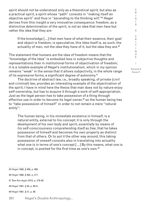spirit should not be understood only as a theoretical spirit, but also as a practical spirit, a spirit whose "path" consists in "making itself an objective spirit" and thus in "ascending to the thinking will."45 Hegel derives from this insight a very innovative consequence: freedom, as a distinctive determination of the spirit, is not an idea that men *have* but rather the idea that they *are*:

If the knowledge [...] that men have of what their essence, their goal and object is freedom, is speculative, this Idea itself is, as such, the actuality of men, not the idea they have of it, but the idea they are. $46$ 

The statement that humans *are* the idea of freedom means that the "knowledge of the Idea" is embodied less in subjective thoughts and representations than in institutional forms of objectivation of freedom; it is a notable example of Hegel's institutionalism, which in my opinion remains "weak" in the sense that it allows subjectivity, in the whole range of its expressive forms, a significant degree of autonomy.<sup>47</sup>

The doctrine of abstract law, i.e., broadly speaking, of private (civil and criminal) law, provides an interesting example of the objectivation of the spirit; I have in mind here the thesis that man does not by nature enjoy self-ownership, but has to acquire it through a work of self-appropriation. Just as the legal person has to take possession of a thing through effective use in order to become its legal owner,<sup>48</sup> so the human being has to "take possession of himself" in order to not remain a mere "natural entity":

The human being, in his *immediate* existence in himself, is a natural entity, external to his concept; it is only through the *development* of his own body and spirit, *essentially* by means of *his self-consciousness comprehending itself as free*, that he takes possession of himself and becomes his own property as distinct from that of others. Or to put it the other way around, this taking possession of oneself consists also in translating into actuality what one is in terms of one's concept […] By this means, what one is in concept, is posited for the first time as one's own.<sup>49</sup>

S I S & C R I T I Q U E / Volume 8 Issue 2

C R I

<sup>45</sup> Hegel 1992, § 469, p. 466.

<sup>46</sup> Hegel 1992, § 482, p. 477.

<sup>47</sup> See Kervégan 2018, p. 279-82.

<sup>48</sup> Hegel 1991, § 59, p. 88-9.

<sup>49</sup> Hegel 1991, § 57, p. 86.

<sup>201</sup> Hegel's Double Anthropology...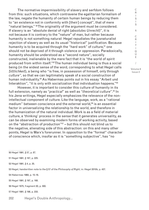The normative impermissibility of slavery and serfdom follows from this: such situations, which contravene the egalitarian formalism of the law, negate the humanity of certain human beings by reducing them to "an existence not in conformity with [their] concept", that of mere "natural beings." 50 The originality of the argument must be considered. If slavery is an "absolute denial of right (*absolutes Unrecht*)", it is not because it is contrary to the "nature" of man, but rather because humanity is not something natural: Hegel repudiates the jusnaturalist rejection of slavery as well as its usual "historical" justification. Because humanity is to be acquired through the "hard work" of culture.<sup>51</sup> one should not be deprived of it through violence or oppression. Paradoxically, humanity should be understood as a "second nature", socially constructed, inalienable by the mere fact that it is "the world of spirit produced from within itself."52 The human individual being is thus a social being (in the widest sense of the word, corresponding to what Hegel calls *Sittlichkeit*), a being who "is free, in possession of himself, only through *culture"*, so that we can legitimately speak of a social construction of human individuality.<sup>53</sup> As Habermas points out in his essay "Arbeit und Interaktion", "it is only with socialization that individuation happens."54

However, it is important to consider this culture of humanity in its full extension, namely as "*practical*" as well as "*theoretical culture*".55 In his Jena writings, Hegel especially emphasizes the relevance of the nonintellectual component of culture. Like the language, work, as a "rational medium" between conscience and the external world,<sup>56</sup> is an essential factor in universalizing the relationship to the world, and therefore in the humanization of the natural individual. Work is as a field of material culture, a 'thinking' process in the sense that it generates universality, as can be observed by examining modern forms of working activity, based on the "abstraction of production"57 – but this should not blind us to the negative, alienating side of this abstraction: on this and many other points, Hegel is Marx's forerunner. In opposition to the "formal" character of conscience which, insofar as it is "something subjective", has "no

50 Hegel 1991, § 57, p. 87. 51 Hegel 1991, § 187, p. 225. 52 Hegel 1991, § 4, p. 35. 53 Hegel, handwritten note to the § 57 of the *Philosophy of Right*, in: Hegel 2010b, p. 437. 54 Habermas 1968, p. 15-16. 55 Hegel 1991, § 197, p. 168. 56 Hegel 1975, fragment 20, p. 300. 57 Hegel 1991, § 198, p. 233.

202 Hegel's Double Anthropology...

C R  $\mathbf{I}$ S I S

<sup>&</sup>amp; C R I T I Q U E / Volume 8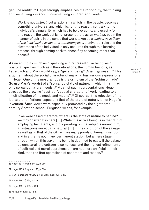genuine reality",<sup>58</sup> Hegel strongly emphasizes the rationality, the thinking and socializing - in short, universalizing - character of work:

Work is not *instinct*, but a rationality which, in the people, becomes something universal and which is, for this reason, contrary to the individual's singularity, which has to be overcome; and exactly for this reason, the work act is not present there as an *instinct*, but in the manner of spirit, in the sense that work, taken as a *subjective activity of the individual, has become something else*, a universal rule; and the cleverness of the individual is only acquired through this learning process, through coming back to oneself by becoming other than oneself.59

As an acting as much as a speaking and representative being, as a practical spirit as much as a theoretical one, the human being is, as Feuerbach and Marx would say, a "generic being" (*Gattungswesen*).60 This argument about the social character of mankind has various expressions in Hegel. One of the most famous is the criticism of the "robinsonnade" (to use Marx's words) of a "so-called state of nature, in which [man] had only so-called natural needs".61 Against such representations, Hegel stresses the growing "abstract", social character of work, leading to a "multiplication of his needs and means".<sup>62</sup> Of course, this rejection of the jusnaturalist fictions, especially that of the state of nature, is not Hegel's invention. Such views were especially promoted by the eighteenthcentury Scottish school. Ferguson writes, for example:

If we were asked therefore, where is the state of nature to be find? we may answer, It is here **[…]** While this active being is in the train of employing his talents*,* and of operating on the subjects around him, all situations are equally natural. […] In the condition of the savage*,*  as well as in that of the citizen*,* are many proof*s* of human invention; and in either is not in any permanent station, but a mere stage through which this travellin*g* being is destined to pass. If the palace be unnatural*,* the cottage is so no less; and the highest refinements of political and moral apprehension, are not more artificial in their kind, than the first operations of sentiment and reason.<sup>63</sup>

C R  $\mathbf{I}$ S I S & C R I T I Q U E / Volume 8 Issue 2

<sup>58</sup> Hegel 1975, fragment 20, p. 286.

<sup>59</sup> Hegel 1975, fragment 20, p. 320.

<sup>60</sup> See Feuerbach 1959c, p. 1-2; Marx 1968, p. 515-18.

<sup>61</sup> Hegel 1991, § 194, p. 230.

<sup>62</sup> Hegel 1991, § 190, p. 228.

<sup>63</sup> Ferguson 1782, p. 12-3.

<sup>203</sup> Hegel's Double Anthropology...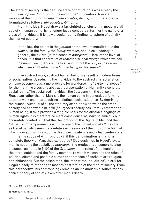The state of society is the genuine state of nature: this was already the *communis opinio doctorum* at the end of the 18th century. A modern version of the old Roman maxim *ubi societas, ibi jus*, might therefore be formulated as follows: *ubi societas, ibi homo*.

From this idea, Hegel draws a far-sighted conclusion: in modern civil society, 'human being' is no longer just a conceptual term or the name of a class of individuals, it is now a social reality finding its sphere of activity in the market society:

In the law, the object is the *person*; at the level of morality, it is the *subject*, in the family, the *family-member*, and in civil society in general, the *citizen* (in the sense of *bourgeois*). Here, at the level of needs, it is that concretum of *representational thought* which we call *the human being*; this is the first, and in fact the only occasion on which we shall refer to *the human being* in this sense.<sup>64</sup>

Like abstract work, abstract human being is a result of modern forms of socialization. By reducing the individual to the abstract characteristics of homo oeconomicus, a mere vehicle for workforce, the "system of needs" for the first time gives this abstract representation of Humanity a concrete social reality. The socialized individual, the *bourgeois* (in the sense of Rousseau rather than of Marx), is the human being in general, performing abstract work and thus acquiring a distinct social existence. By depriving the human individual of all the statutory attributes with which the order society had endowed him, civil (*bourgeois*) society has literally created the human being; it thus provided a tangible basis for the abstract language of human rights. It is therefore no mere coincidence, as Marx polemically but accurately pointed out, that the Declaration of the Rights of Man and the Citizen is contemporaneous with the rise of the market society:<sup>65</sup> they are, as Hegel had also seen it, correlative expressions of the birth of the Man, of which Foucault will draw up the death certificate one and a half century later.

Is the scope of Anthropology 2, if this denomination is that of a complete theory of Man, thus exhausted? Obviously not. In Hegel's system, man is not only the socialized *bourgeois*, the producer-consumer; he also assumes, as listed in § 190 of the *Grundlinien*, the roles of the legal person, the moral subject and the family member, to which we can add the roles of political citizen and possible author or addressee of works of art, religion, and philosophy. But the naked man, the 'man without qualities', is still for Hegel closely related to the modern abstraction of the market society. From this perspective, his anthropology remains an inexhaustible source for any critical theory of society, even after man's death.

64 Hegel 1991, § 190, p. 228 (modified).

65 Marx 1976, p. 364-7.

204 Hegel's Double Anthropology... C